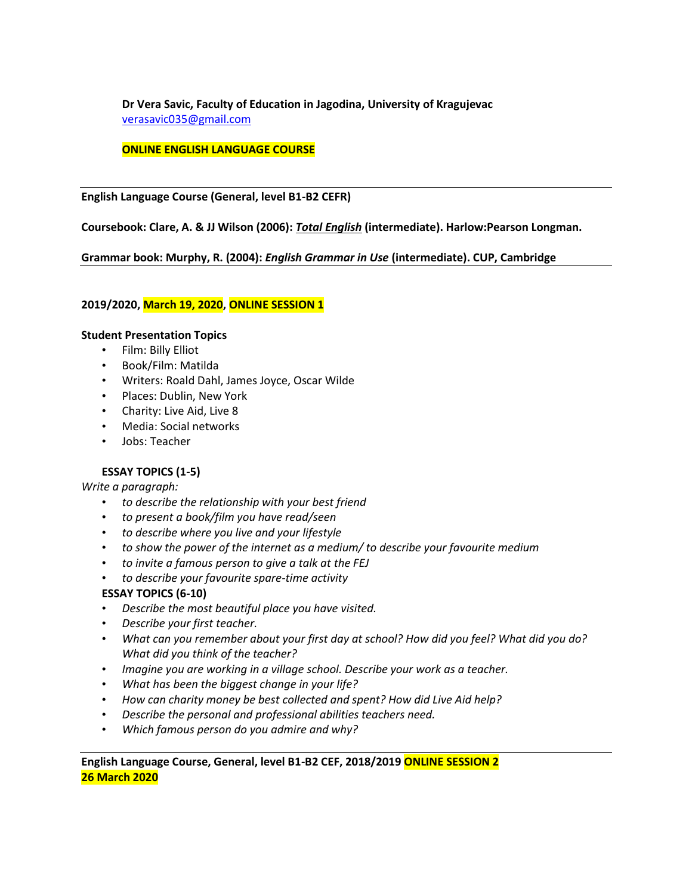**Dr Vera Savic, Faculty of Education in Jagodina, University of Kragujevac** [verasavic035@gmail.com](mailto:verasavic035@gmail.com)

#### **ONLINE ENGLISH LANGUAGE COURSE**

**English Language Course (General, level B1-B2 CEFR)**

**Coursebook: Clare, A. & JJ Wilson (2006):** *Total English* **(intermediate). Harlow:Pearson Longman.**

**Grammar book: Murphy, R. (2004):** *English Grammar in Use* **(intermediate). CUP, Cambridge**

#### **2019/2020, March 19, 2020, ONLINE SESSION 1**

#### **Student Presentation Topics**

- Film: Billy Elliot
- Book/Film: Matilda
- Writers: Roald Dahl, James Joyce, Oscar Wilde
- Places: Dublin, New York
- Charity: Live Aid, Live 8
- Media: Social networks
- Jobs: Teacher

## **ESSAY TOPICS (1-5)**

*Write a paragraph:*

- *to describe the relationship with your best friend*
- *to present a book/film you have read/seen*
- *to describe where you live and your lifestyle*
- *to show the power of the internet as a medium/ to describe your favourite medium*
- *to invite a famous person to give a talk at the FEJ*
- *to describe your favourite spare-time activity*

#### **ESSAY TOPICS (6-10)**

- *Describe the most beautiful place you have visited.*
- *Describe your first teacher.*
- *What can you remember about your first day at school? How did you feel? What did you do? What did you think of the teacher?*
- *Imagine you are working in a village school. Describe your work as a teacher.*
- *What has been the biggest change in your life?*
- *How can charity money be best collected and spent? How did Live Aid help?*
- *Describe the personal and professional abilities teachers need.*
- *Which famous person do you admire and why?*

**English Language Course, General, level B1-B2 CEF, 2018/2019 ONLINE SESSION 2 26 March 2020**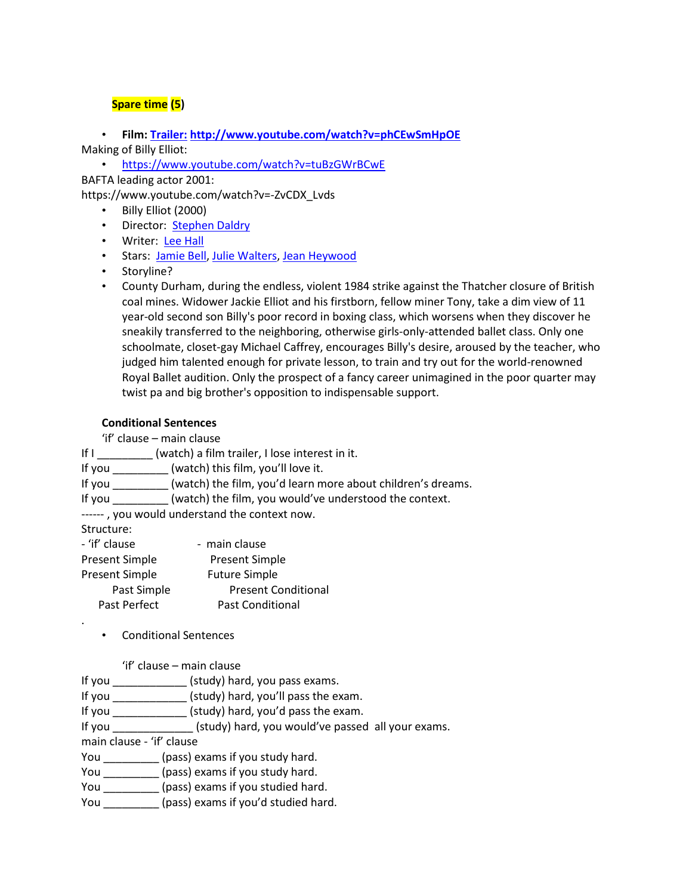## **Spare time (5)**

• **Film: [Trailer:](http://www.youtube.com/watch?v=phCEwSmHpOE) <http://www.youtube.com/watch?v=phCEwSmHpOE>** Making of Billy Elliot:

• <https://www.youtube.com/watch?v=tuBzGWrBCwE> BAFTA leading actor 2001:

https://www.youtube.com/watch?v=-ZvCDX\_Lvds

- Billy Elliot (2000)
- Director: [Stephen Daldry](http://www.imdb.com/name/nm0197636/?ref_=tt_ov_dr)
- Writer: [Lee Hall](http://www.imdb.com/name/nm0355822/?ref_=tt_ov_wr)
- Stars: [Jamie Bell,](http://www.imdb.com/name/nm0068260/?ref_=tt_ov_st) [Julie Walters,](http://www.imdb.com/name/nm0910278/?ref_=tt_ov_st) [Jean Heywood](http://www.imdb.com/name/nm0382402/?ref_=tt_ov_st)
- Storyline?
- County Durham, during the endless, violent 1984 strike against the Thatcher closure of British coal mines. Widower Jackie Elliot and his firstborn, fellow miner Tony, take a dim view of 11 year-old second son Billy's poor record in boxing class, which worsens when they discover he sneakily transferred to the neighboring, otherwise girls-only-attended ballet class. Only one schoolmate, closet-gay Michael Caffrey, encourages Billy's desire, aroused by the teacher, who judged him talented enough for private lesson, to train and try out for the world-renowned Royal Ballet audition. Only the prospect of a fancy career unimagined in the poor quarter may twist pa and big brother's opposition to indispensable support.

### **Conditional Sentences**

'if' clause – main clause

If I \_\_\_\_\_\_\_\_\_ (watch) a film trailer, I lose interest in it.

If you \_\_\_\_\_\_\_\_\_ (watch) this film, you'll love it.

If you \_\_\_\_\_\_\_\_\_ (watch) the film, you'd learn more about children's dreams.

If you \_\_\_\_\_\_\_\_\_ (watch) the film, you would've understood the context.

------ , you would understand the context now.

Structure:

.

| - 'if' clause         | - main clause              |
|-----------------------|----------------------------|
| <b>Present Simple</b> | <b>Present Simple</b>      |
| <b>Present Simple</b> | <b>Future Simple</b>       |
| Past Simple           | <b>Present Conditional</b> |
| Past Perfect          | <b>Past Conditional</b>    |

• Conditional Sentences

'if' clause – main clause

If you \_\_\_\_\_\_\_\_\_\_\_\_ (study) hard, you pass exams.

If you \_\_\_\_\_\_\_\_\_\_\_\_ (study) hard, you'll pass the exam.

If you \_\_\_\_\_\_\_\_\_\_\_\_ (study) hard, you'd pass the exam.

If you \_\_\_\_\_\_\_\_\_\_\_\_\_ (study) hard, you would've passed all your exams.

main clause - 'if' clause

You \_\_\_\_\_\_\_\_\_\_\_ (pass) exams if you study hard.

You \_\_\_\_\_\_\_\_\_\_\_ (pass) exams if you study hard.

You \_\_\_\_\_\_\_\_\_\_\_ (pass) exams if you studied hard.

You \_\_\_\_\_\_\_\_\_\_ (pass) exams if you'd studied hard.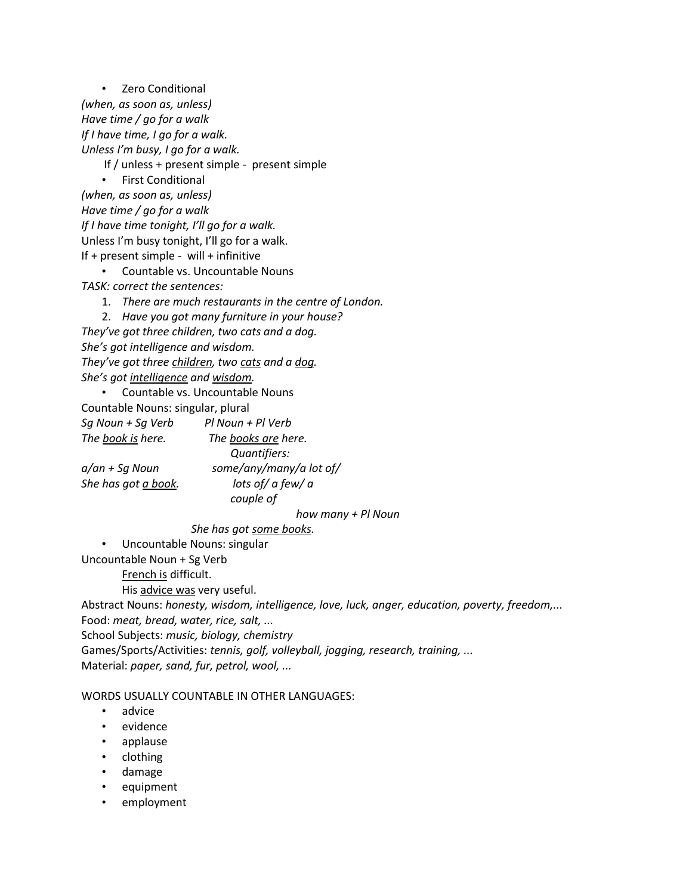• Zero Conditional *(when, as soon as, unless) Have time / go for a walk If I have time, I go for a walk. Unless I'm busy, I go for a walk.* If / unless + present simple - present simple • First Conditional *(when, as soon as, unless) Have time / go for a walk If I have time tonight, I'll go for a walk.* Unless I'm busy tonight, I'll go for a walk. If + present simple - will + infinitive

- Countable vs. Uncountable Nouns *TASK: correct the sentences:*
	- 1. *There are much restaurants in the centre of London.*

2. *Have you got many furniture in your house?*

*They've got three children, two cats and a dog. She's got intelligence and wisdom. They've got three children, two cats and a dog. She's got intelligence and wisdom.*

• Countable vs. Uncountable Nouns

Countable Nouns: singular, plural

*Sg Noun + Sg Verb Pl Noun + Pl Verb* 

*The book is here. The books are here. a/an + Sg Noun some/any/many/a lot of/ She has got a book. lots of/ a few/ a* 

 *Quantifiers: couple of* 

 *how many + Pl Noun*

 *She has got some books.*

• Uncountable Nouns: singular

Uncountable Noun + Sg Verb

French is difficult.

His advice was very useful.

Abstract Nouns: *honesty, wisdom, intelligence, love, luck, anger, education, poverty, freedom,...*  Food: *meat, bread, water, rice, salt, ...* School Subjects: *music, biology, chemistry* Games/Sports/Activities: *tennis, golf, volleyball, jogging, research, training, ...* Material: *paper, sand, fur, petrol, wool, ...*

#### WORDS USUALLY COUNTABLE IN OTHER LANGUAGES:

- advice
- evidence
- applause
- clothing
- damage
- equipment
- employment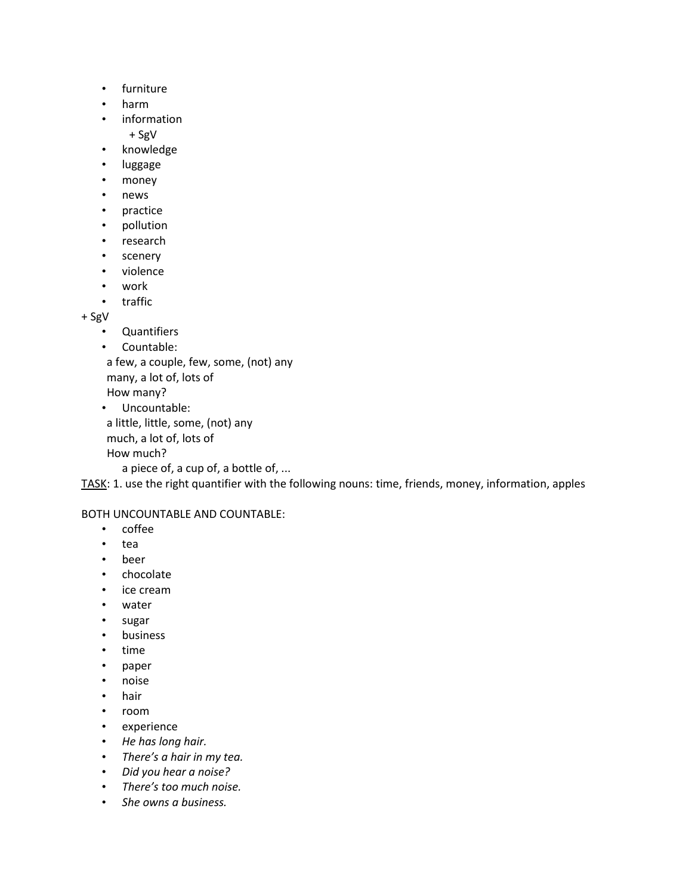- furniture
- harm
- information
	- + SgV
- knowledge
- luggage
- money
- news
- practice
- pollution
- research
- scenery
- violence
- work
- traffic

+ SgV

- Quantifiers
- Countable:

 a few, a couple, few, some, (not) any many, a lot of, lots of

How many?

```
• Uncountable: 
a little, little, some, (not) any
much, a lot of, lots of
```
How much?

a piece of, a cup of, a bottle of, ...

TASK: 1. use the right quantifier with the following nouns: time, friends, money, information, apples

BOTH UNCOUNTABLE AND COUNTABLE:

- coffee
- tea
- beer
- chocolate
- ice cream
- water
- sugar
- business
- time
- paper
- noise
- hair
- room
- experience
- *He has long hair.*
- *There's a hair in my tea.*
- *Did you hear a noise?*
- *There's too much noise.*
- *She owns a business.*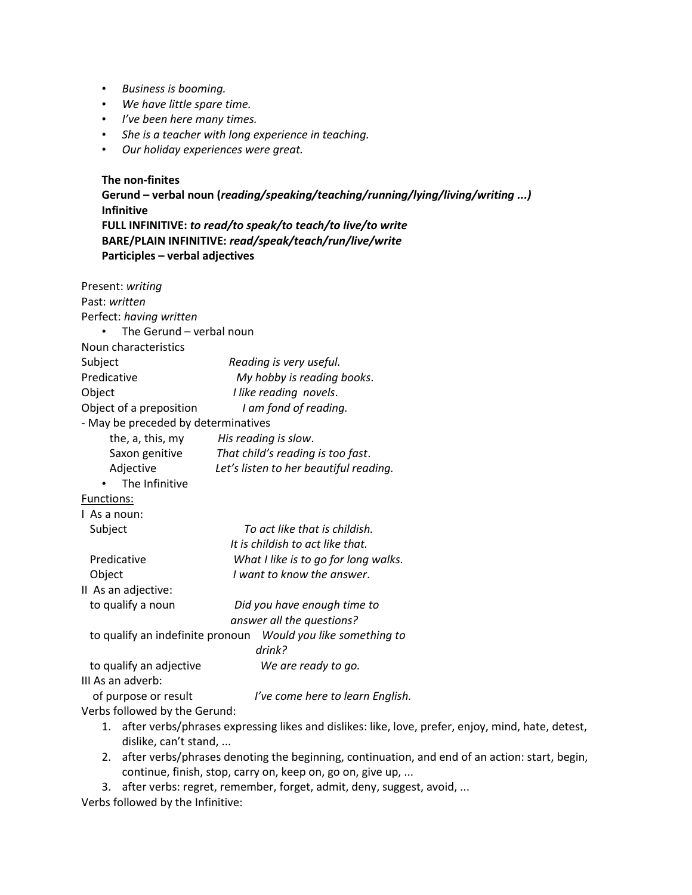- *Business is booming.*
- *We have little spare time.*
- *I've been here many times.*
- *She is a teacher with long experience in teaching.*
- *Our holiday experiences were great.*

**The non-finites Gerund – verbal noun (***reading/speaking/teaching/running/lying/living/writing ...)* **Infinitive FULL INFINITIVE:** *to read/to speak/to teach/to live/to write* **BARE/PLAIN INFINITIVE:** *read/speak/teach/run/live/write* **Participles – verbal adjectives** Present: *writing* Past: *written* Perfect: *having written* • The Gerund – verbal noun Noun characteristics Subject *Reading is very useful.* Predicative *My hobby is reading books*. Object *I like reading novels*. Object of a preposition *I am fond of reading.* - May be preceded by determinatives the, a, this, my *His reading is slow*. Saxon genitive *That child's reading is too fast*. Adjective *Let's listen to her beautiful reading.* • The Infinitive Functions: I As a noun: Subject *To act like that is childish. It is childish to act like that.* Predicative *What I like is to go for long walks.* Object *I want to know the answer*. II As an adjective: to qualify a noun *Did you have enough time to answer all the questions?* to qualify an indefinite pronoun *Would you like something to drink?* to qualify an adjective *We are ready to go.* III As an adverb: of purpose or result *I've come here to learn English.* Verbs followed by the Gerund:

- 1. after verbs/phrases expressing likes and dislikes: like, love, prefer, enjoy, mind, hate, detest, dislike, can't stand, ...
- 2. after verbs/phrases denoting the beginning, continuation, and end of an action: start, begin, continue, finish, stop, carry on, keep on, go on, give up, ...
- 3. after verbs: regret, remember, forget, admit, deny, suggest, avoid, ... Verbs followed by the Infinitive: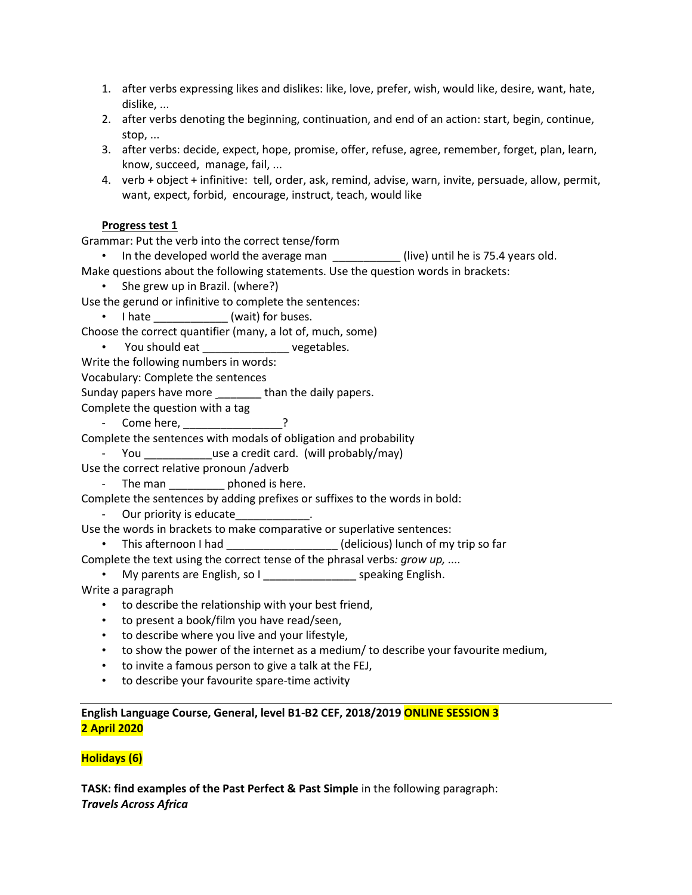- 1. after verbs expressing likes and dislikes: like, love, prefer, wish, would like, desire, want, hate, dislike, ...
- 2. after verbs denoting the beginning, continuation, and end of an action: start, begin, continue, stop, ...
- 3. after verbs: decide, expect, hope, promise, offer, refuse, agree, remember, forget, plan, learn, know, succeed, manage, fail, ...
- 4. verb + object + infinitive: tell, order, ask, remind, advise, warn, invite, persuade, allow, permit, want, expect, forbid, encourage, instruct, teach, would like

### **Progress test 1**

Grammar: Put the verb into the correct tense/form

• In the developed world the average man \_\_\_\_\_\_\_\_\_\_(live) until he is 75.4 years old.

Make questions about the following statements. Use the question words in brackets:

• She grew up in Brazil. (where?)

Use the gerund or infinitive to complete the sentences:

• I hate \_\_\_\_\_\_\_\_\_\_\_\_ (wait) for buses.

- Choose the correct quantifier (many, a lot of, much, some)
	- You should eat early vegetables.

Write the following numbers in words:

Vocabulary: Complete the sentences

Sunday papers have more \_\_\_\_\_\_\_\_ than the daily papers.

- Complete the question with a tag
	- Come here, \_\_\_\_\_\_\_\_\_\_\_\_\_\_\_\_\_\_?

Complete the sentences with modals of obligation and probability

- You \_\_\_\_\_\_\_\_\_\_\_\_use a credit card. (will probably/may)

Use the correct relative pronoun /adverb

- The man \_\_\_\_\_\_\_\_\_\_ phoned is here.

Complete the sentences by adding prefixes or suffixes to the words in bold:

- Our priority is educate

Use the words in brackets to make comparative or superlative sentences:

- This afternoon I had \_\_\_\_\_\_\_\_\_\_\_\_\_\_\_\_\_\_\_(delicious) lunch of my trip so far
- Complete the text using the correct tense of the phrasal verbs*: grow up, ....*

• My parents are English, so I \_\_\_\_\_\_\_\_\_\_\_\_\_\_\_\_\_\_\_ speaking English.

- Write a paragraph
	- to describe the relationship with your best friend,
	- to present a book/film you have read/seen,
	- to describe where you live and your lifestyle,
	- to show the power of the internet as a medium/ to describe your favourite medium,
	- to invite a famous person to give a talk at the FEJ,
	- to describe your favourite spare-time activity

**English Language Course, General, level B1-B2 CEF, 2018/2019 ONLINE SESSION 3 2 April 2020**

## **Holidays (6)**

**TASK: find examples of the Past Perfect & Past Simple** in the following paragraph: *Travels Across Africa*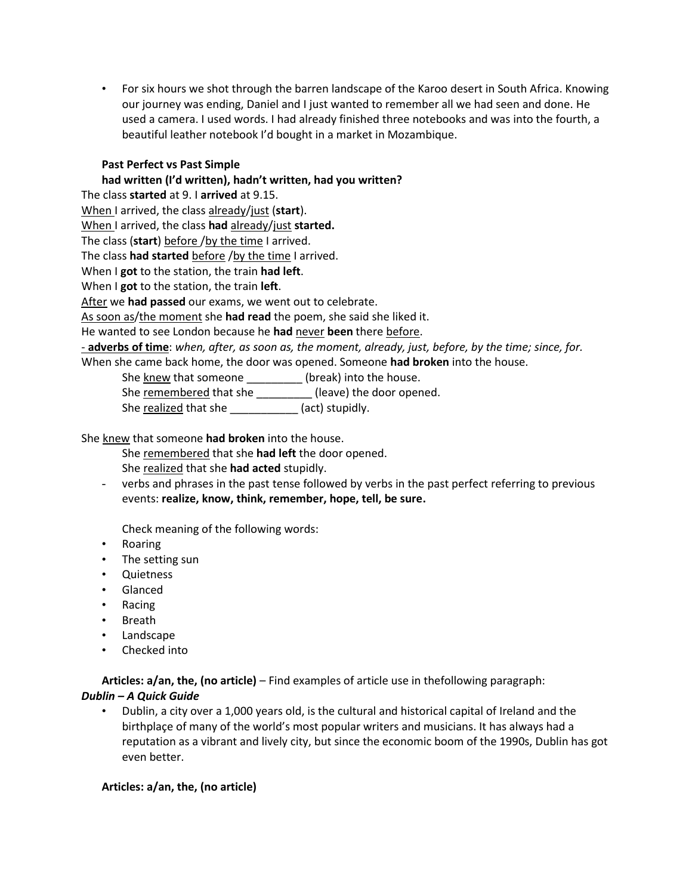• For six hours we shot through the barren landscape of the Karoo desert in South Africa. Knowing our journey was ending, Daniel and I just wanted to remember all we had seen and done. He used a camera. I used words. I had already finished three notebooks and was into the fourth, a beautiful leather notebook I'd bought in a market in Mozambique.

## **Past Perfect vs Past Simple**

**had written (I'd written), hadn't written, had you written?** The class **started** at 9. I **arrived** at 9.15. When I arrived, the class already/just (**start**). When I arrived, the class **had** already/just **started.** The class (start) before /by the time I arrived. The class **had started** before /by the time I arrived. When I **got** to the station, the train **had left**. When I **got** to the station, the train **left**. After we **had passed** our exams, we went out to celebrate. As soon as/the moment she **had read** the poem, she said she liked it. He wanted to see London because he **had** never **been** there before. - **adverbs of time**: *when, after, as soon as, the moment, already, just, before, by the time; since, for.* When she came back home, the door was opened. Someone **had broken** into the house.

She knew that someone \_\_\_\_\_\_\_\_\_\_ (break) into the house.

She remembered that she \_\_\_\_\_\_\_\_\_ (leave) the door opened.

She realized that she \_\_\_\_\_\_\_\_\_\_\_\_\_ (act) stupidly.

She knew that someone **had broken** into the house.

She remembered that she **had left** the door opened.

She realized that she **had acted** stupidly.

- verbs and phrases in the past tense followed by verbs in the past perfect referring to previous events: **realize, know, think, remember, hope, tell, be sure.**

Check meaning of the following words:

- Roaring
- The setting sun
- Quietness
- Glanced
- Racing
- Breath
- Landscape
- Checked into

**Articles: a/an, the, (no article)** – Find examples of article use in thefollowing paragraph:

## *Dublin – A Quick Guide*

• Dublin, a city over a 1,000 years old, is the cultural and historical capital of Ireland and the birthplaçe of many of the world's most popular writers and musicians. It has always had a reputation as a vibrant and lively city, but since the economic boom of the 1990s, Dublin has got even better.

#### **Articles: a/an, the, (no article)**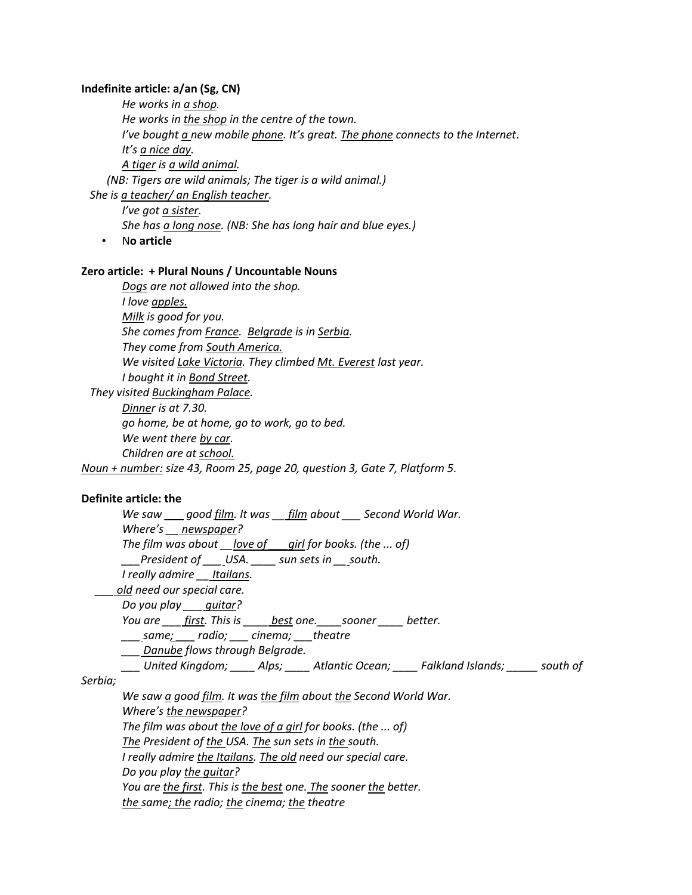#### **Indefinite article: a/an (Sg, CN)**

*He works in a shop. He works in the shop in the centre of the town. I've bought a new mobile phone. It's great. The phone connects to the Internet*. *It's a nice day. A tiger is a wild animal. (NB: Tigers are wild animals; The tiger is a wild animal.)*

 *She is a teacher/ an English teacher.*

*I've got a sister. She has a long nose. (NB: She has long hair and blue eyes.)*

• N**o article**

#### **Zero article: + Plural Nouns / Uncountable Nouns**

*Dogs are not allowed into the shop. I love apples. Milk is good for you. She comes from France. Belgrade is in Serbia. They come from South America. We visited Lake Victoria. They climbed Mt. Everest last year. I bought it in Bond Street. They visited Buckingham Palace. Dinner is at 7.30. go home, be at home, go to work, go to bed.*

*We went there by car.* 

*Children are at school.*

*Noun + number: size 43, Room 25, page 20, question 3, Gate 7, Platform 5.*

#### **Definite article: the**

*We saw \_\_\_ good film. It was \_\_ film about \_\_\_ Second World War. Where's \_\_ newspaper? The film was about \_\_love of \_\_\_girl for books. (the ... of) \_\_\_President of \_\_\_ USA. \_\_\_\_ sun sets in \_\_ south. I really admire \_\_ Itailans. \_\_\_ old need our special care. Do you play \_\_\_ guitar? You are \_\_\_ first. This is \_\_\_\_ best one.\_\_\_\_sooner \_\_\_\_ better. \_\_\_ same; \_\_\_ radio; \_\_\_ cinema; \_\_\_theatre \_\_\_ Danube flows through Belgrade. \_\_\_ United Kingdom; \_\_\_\_ Alps; \_\_\_\_ Atlantic Ocean; \_\_\_\_ Falkland Islands; \_\_\_\_\_ south of Serbia; We saw a good film. It was the film about the Second World War. Where's the newspaper? The film was about the love of a girl for books. (the ... of)*

*The President of the USA. The sun sets in the south.*

*I really admire the Itailans. The old need our special care.*

*Do you play the guitar?* 

*You are the first. This is the best one. The sooner the better.* 

*the same; the radio; the cinema; the theatre*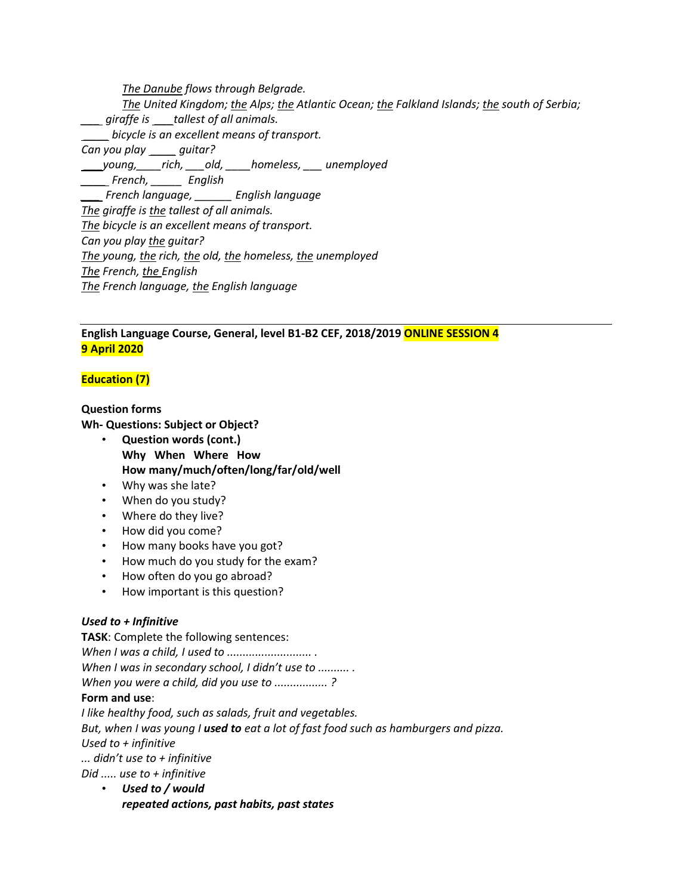*The Danube flows through Belgrade. The United Kingdom; the Alps; the Atlantic Ocean; the Falkland Islands; the south of Serbia; \_\_\_ giraffe is \_\_\_tallest of all animals. \_\_\_\_ bicycle is an excellent means of transport. Can you play \_\_\_\_ guitar? \_\_\_young,\_\_\_\_rich, \_\_\_old, \_\_\_\_homeless, \_\_\_ unemployed \_\_\_\_ French, \_\_\_\_\_ English \_\_\_ French language, \_\_\_\_\_\_ English language The giraffe is the tallest of all animals. The bicycle is an excellent means of transport. Can you play the guitar? The young, the rich, the old, the homeless, the unemployed The French, the English The French language, the English language*

## **English Language Course, General, level B1-B2 CEF, 2018/2019 ONLINE SESSION 4 9 April 2020**

## **Education (7)**

**Question forms Wh- Questions: Subject or Object?** • **Question words (cont.)**

- **Why When Where How How many/much/often/long/far/old/well**
- Why was she late?
- When do you study?
- Where do they live?
- How did you come?
- How many books have you got?
- How much do you study for the exam?
- How often do you go abroad?
- How important is this question?

#### *Used to + Infinitive*

**TASK**: Complete the following sentences: *When I was a child, I used to ........................... . When I was in secondary school, I didn't use to .......... . When you were a child, did you use to ................. ?*

#### **Form and use**:

*I like healthy food, such as salads, fruit and vegetables. But, when I was young I used to eat a lot of fast food such as hamburgers and pizza. Used to + infinitive ... didn't use to + infinitive Did ..... use to + infinitive*

• *Used to / would repeated actions, past habits, past states*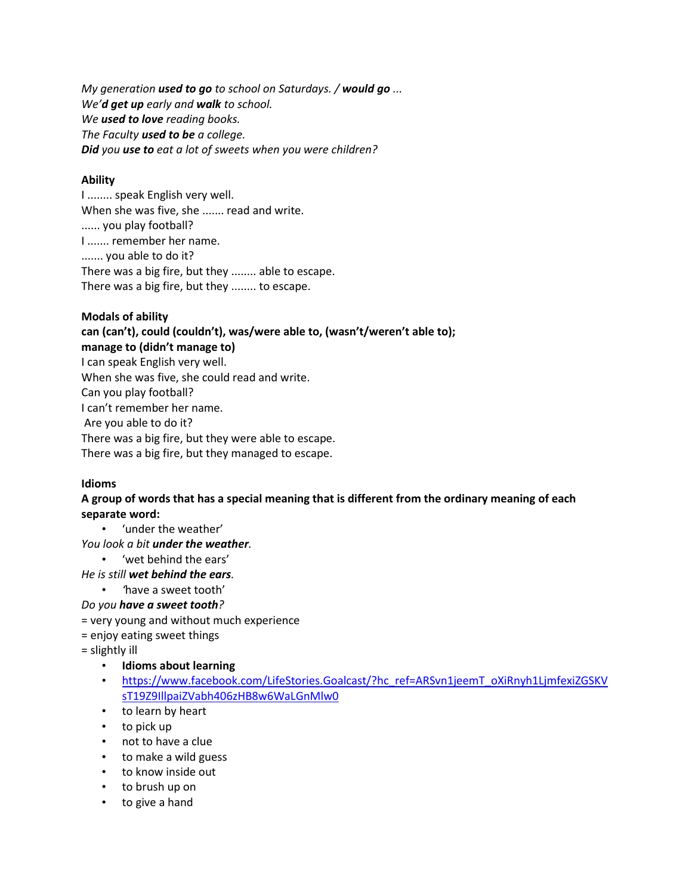*My generation used to go to school on Saturdays. / would go ... We'd get up early and walk to school. We used to love reading books. The Faculty used to be a college. Did you use to eat a lot of sweets when you were children?*

### **Ability**

I ........ speak English very well. When she was five, she ....... read and write. ...... you play football? I ....... remember her name. ....... you able to do it? There was a big fire, but they ........ able to escape. There was a big fire, but they ........ to escape.

## **Modals of ability**

**can (can't), could (couldn't), was/were able to, (wasn't/weren't able to); manage to (didn't manage to)** I can speak English very well. When she was five, she could read and write. Can you play football? I can't remember her name. Are you able to do it? There was a big fire, but they were able to escape. There was a big fire, but they managed to escape.

## **Idioms**

## **A group of words that has a special meaning that is different from the ordinary meaning of each separate word:**

• 'under the weather'

*You look a bit under the weather.*

• 'wet behind the ears'

*He is still wet behind the ears.*

• *'*have a sweet tooth'

## *Do you have a sweet tooth?*

- = very young and without much experience
- = enjoy eating sweet things

= slightly ill

- **Idioms about learning**
- [https://www.facebook.com/LifeStories.Goalcast/?hc\\_ref=ARSvn1jeemT\\_oXiRnyh1LjmfexiZGSKV](https://www.facebook.com/LifeStories.Goalcast/?hc_ref=ARSvn1jeemT_oXiRnyh1LjmfexiZGSKVsT19Z9IllpaiZVabh406zHB8w6WaLGnMlw0) [sT19Z9IllpaiZVabh406zHB8w6WaLGnMlw0](https://www.facebook.com/LifeStories.Goalcast/?hc_ref=ARSvn1jeemT_oXiRnyh1LjmfexiZGSKVsT19Z9IllpaiZVabh406zHB8w6WaLGnMlw0)
- to learn by heart
- to pick up
- not to have a clue
- to make a wild guess
- to know inside out
- to brush up on
- to give a hand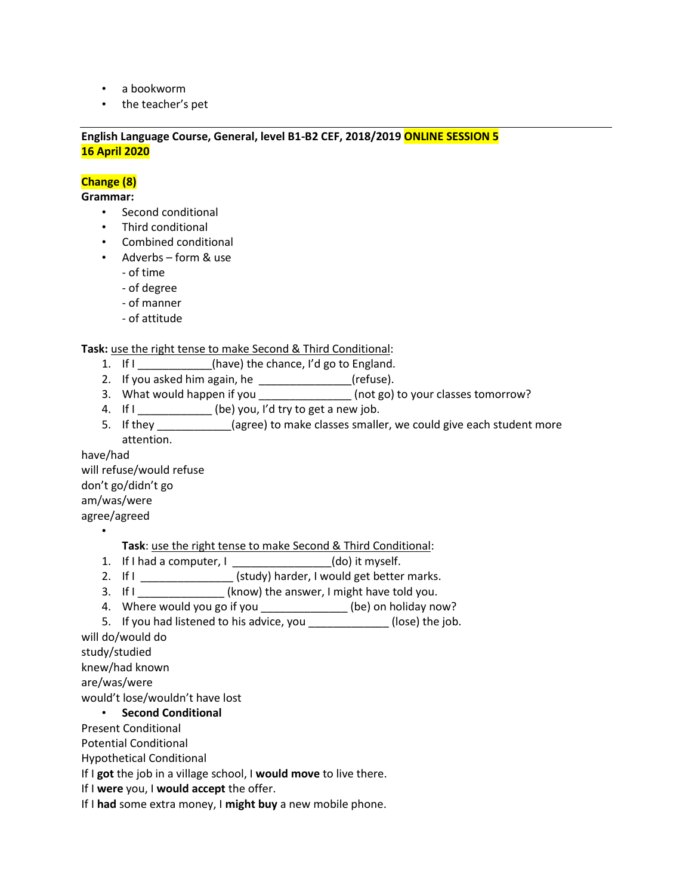- a bookworm
- the teacher's pet

**English Language Course, General, level B1-B2 CEF, 2018/2019 ONLINE SESSION 5 16 April 2020**

**Change (8)**

**Grammar:**

- Second conditional
- Third conditional
- Combined conditional
- Adverbs form & use
	- of time
	- of degree
	- of manner
	- of attitude

**Task:** use the right tense to make Second & Third Conditional:

- 1. If I \_\_\_\_\_\_\_\_\_\_\_(have) the chance, I'd go to England.
- 2. If you asked him again, he  $\frac{1}{2}$  [refuse].
- 3. What would happen if you  $\overline{\hspace{1cm}}$  (not go) to your classes tomorrow?
- 4. If  $I_{\text{max}}$  (be) you, I'd try to get a new job.
- 5. If they \_\_\_\_\_\_\_\_\_\_\_\_(agree) to make classes smaller, we could give each student more attention.

have/had will refuse/would refuse don't go/didn't go am/was/were agree/agreed

•

**Task**: use the right tense to make Second & Third Conditional:

- 1. If I had a computer, I \_\_\_\_\_\_\_\_\_\_\_\_\_\_\_(do) it myself.
- 2. If  $I_{\text{max}} = (study)$  harder, I would get better marks.
- 3. If I \_\_\_\_\_\_\_\_\_\_\_\_\_\_ (know) the answer, I might have told you.
- 4. Where would you go if you \_\_\_\_\_\_\_\_\_\_\_\_\_\_(be) on holiday now?

5. If you had listened to his advice, you exactled the job.

will do/would do study/studied

knew/had known

are/was/were

would't lose/wouldn't have lost

#### • **Second Conditional**

Present Conditional

Potential Conditional

Hypothetical Conditional

If I **got** the job in a village school, I **would move** to live there.

If I **were** you, I **would accept** the offer.

If I **had** some extra money, I **might buy** a new mobile phone.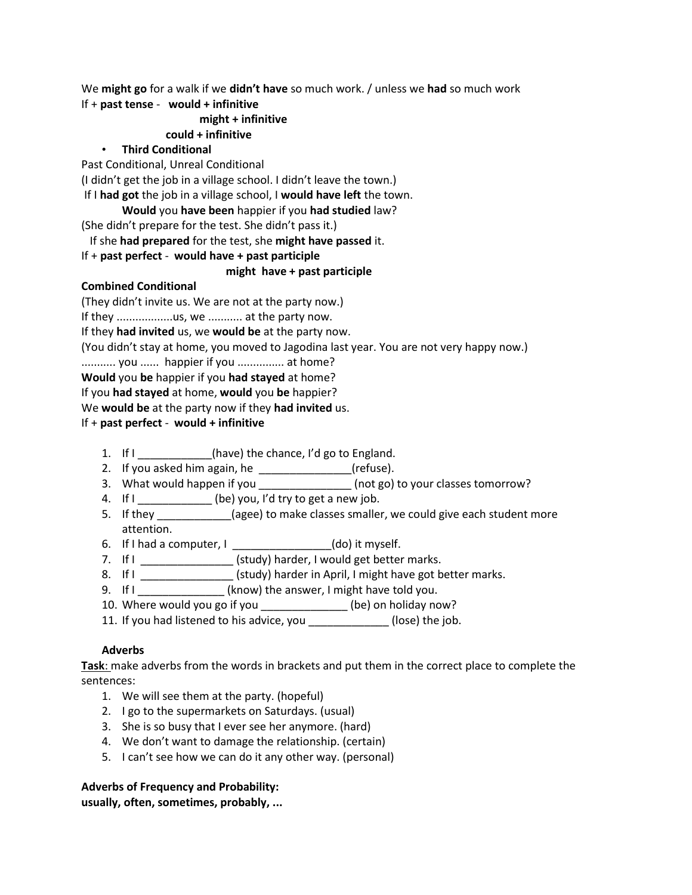We **might go** for a walk if we **didn't have** so much work. / unless we **had** so much work If + **past tense** - **would + infinitive**

## **might + infinitive**

### **could + infinitive**

### • **Third Conditional**

Past Conditional, Unreal Conditional

(I didn't get the job in a village school. I didn't leave the town.)

If I **had got** the job in a village school, I **would have left** the town.

### **Would** you **have been** happier if you **had studied** law?

(She didn't prepare for the test. She didn't pass it.)

If she **had prepared** for the test, she **might have passed** it.

## If + **past perfect** - **would have + past participle**

### **might have + past participle**

### **Combined Conditional**

(They didn't invite us. We are not at the party now.) If they ..................us, we ............ at the party now. If they **had invited** us, we **would be** at the party now. (You didn't stay at home, you moved to Jagodina last year. You are not very happy now.) ........... you ...... happier if you ............... at home? **Would** you **be** happier if you **had stayed** at home? If you **had stayed** at home, **would** you **be** happier? We **would be** at the party now if they **had invited** us. If + **past perfect** - **would + infinitive**

- 1. If  $I$  \_\_\_\_\_\_\_\_\_\_\_(have) the chance, I'd go to England.
- 2. If you asked him again, he  $\frac{1}{2}$  [refuse].
- 3. What would happen if you \_\_\_\_\_\_\_\_\_\_\_\_\_\_\_\_(not go) to your classes tomorrow?
- 4. If  $I_{\text{max}}$  (be) you, I'd try to get a new job.
- 5. If they \_\_\_\_\_\_\_\_\_\_\_(agee) to make classes smaller, we could give each student more attention.
- 6. If I had a computer, I \_\_\_\_\_\_\_\_\_\_\_\_\_\_\_\_(do) it myself.
- 7. If I \_\_\_\_\_\_\_\_\_\_\_\_\_\_\_\_ (study) harder, I would get better marks.
- 8. If I \_\_\_\_\_\_\_\_\_\_\_\_\_\_\_\_\_(study) harder in April, I might have got better marks.
- 9. If I \_\_\_\_\_\_\_\_\_\_\_\_\_\_\_\_(know) the answer, I might have told you.
- 10. Where would you go if you \_\_\_\_\_\_\_\_\_\_\_\_\_\_\_ (be) on holiday now?
- 11. If you had listened to his advice, you \_\_\_\_\_\_\_\_\_\_\_\_\_ (lose) the job.

## **Adverbs**

**Task**: make adverbs from the words in brackets and put them in the correct place to complete the sentences:

- 1. We will see them at the party. (hopeful)
- 2. I go to the supermarkets on Saturdays. (usual)
- 3. She is so busy that I ever see her anymore. (hard)
- 4. We don't want to damage the relationship. (certain)
- 5. I can't see how we can do it any other way. (personal)

## **Adverbs of Frequency and Probability:**

**usually, often, sometimes, probably, ...**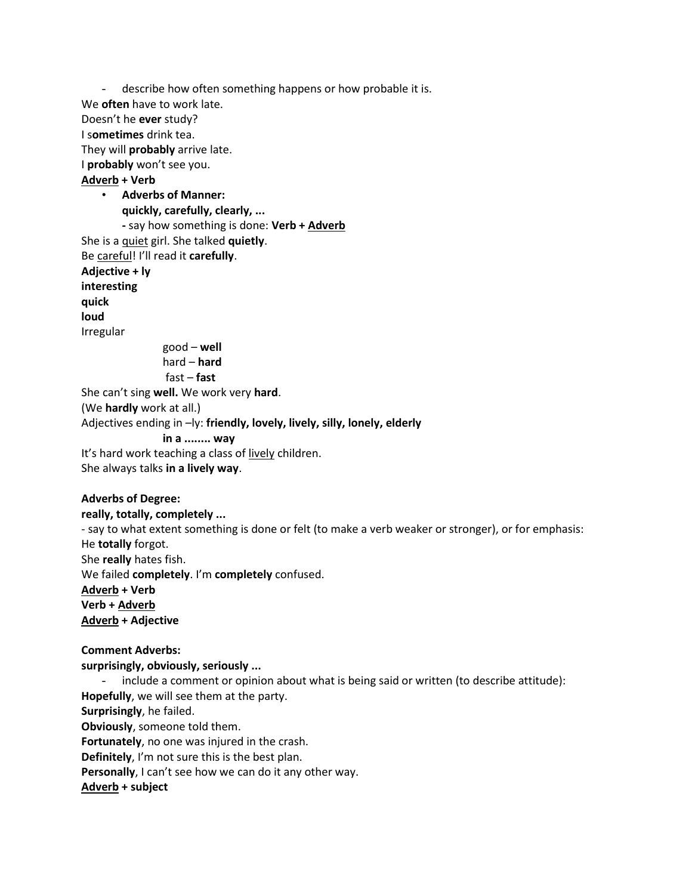- describe how often something happens or how probable it is. We **often** have to work late. Doesn't he **ever** study? I s**ometimes** drink tea. They will **probably** arrive late. I **probably** won't see you. **Adverb + Verb** • **Adverbs of Manner: quickly, carefully, clearly, ... -** say how something is done: **Verb + Adverb** She is a quiet girl. She talked **quietly**. Be careful! I'll read it **carefully**. **Adjective + ly interesting quick loud** Irregular good – **well**  hard – **hard** fast – **fast** She can't sing **well.** We work very **hard**. (We **hardly** work at all.) Adjectives ending in –ly: **friendly, lovely, lively, silly, lonely, elderly in a ........ way** It's hard work teaching a class of lively children. She always talks **in a lively way**.

#### **Adverbs of Degree:**

**really, totally, completely ...**  - say to what extent something is done or felt (to make a verb weaker or stronger), or for emphasis: He **totally** forgot. She **really** hates fish. We failed **completely**. I'm **completely** confused. **Adverb + Verb Verb + Adverb Adverb + Adjective Comment Adverbs:** 

**surprisingly, obviously, seriously ...** - include a comment or opinion about what is being said or written (to describe attitude): **Hopefully**, we will see them at the party. **Surprisingly**, he failed.

**Obviously**, someone told them.

**Fortunately**, no one was injured in the crash.

**Definitely**, I'm not sure this is the best plan.

**Personally**, I can't see how we can do it any other way.

**Adverb + subject**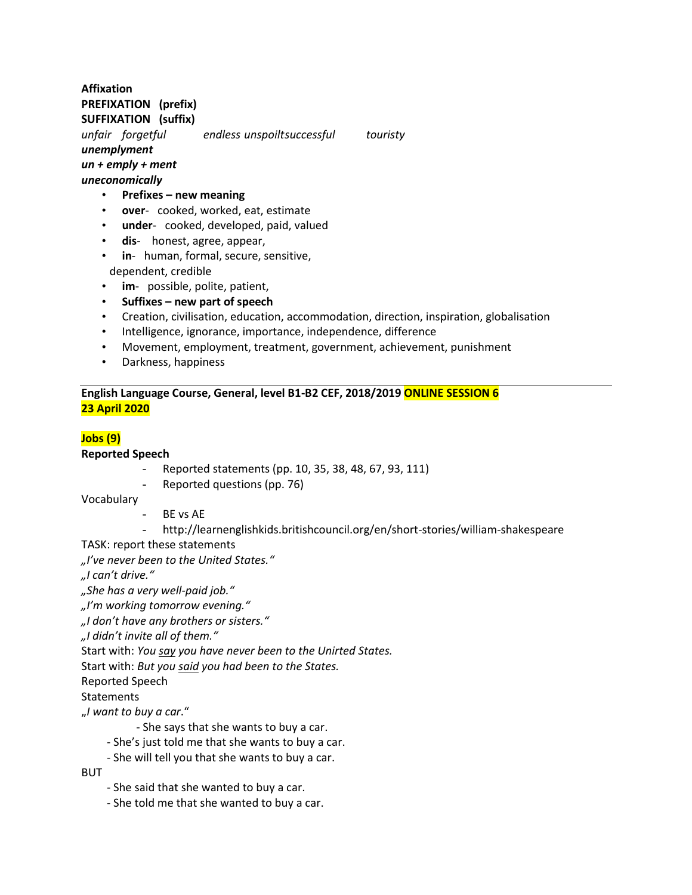### **Affixation PREFIXATION (prefix) SUFFIXATION (suffix)**

*unfair forgetful endless unspoiltsuccessful touristy unemplyment un + emply + ment*

*uneconomically*

- **Prefixes – new meaning**
- **over** cooked, worked, eat, estimate
- **under** cooked, developed, paid, valued
- **dis** honest, agree, appear,
- **in** human, formal, secure, sensitive,
- dependent, credible
- **im** possible, polite, patient,
- **Suffixes – new part of speech**
- Creation, civilisation, education, accommodation, direction, inspiration, globalisation
- Intelligence, ignorance, importance, independence, difference
- Movement, employment, treatment, government, achievement, punishment
- Darkness, happiness

### **English Language Course, General, level B1-B2 CEF, 2018/2019 ONLINE SESSION 6 23 April 2020**

# **Jobs (9)**

#### **Reported Speech**

- Reported statements (pp. 10, 35, 38, 48, 67, 93, 111)
- Reported questions (pp. 76)

Vocabulary

- BE vs AE
- http://learnenglishkids.britishcouncil.org/en/short-stories/william-shakespeare

TASK: report these statements

*"I've never been to the United States."*

*"I can't drive."*

*"She has a very well-paid job."*

*"I'm working tomorrow evening."*

*"I don't have any brothers or sisters."*

*"I didn't invite all of them."*

Start with: *You say you have never been to the Unirted States.*

Start with: *But you said you had been to the States.*

Reported Speech

**Statements** 

"*I want to buy a car*."

- She says that she wants to buy a car.
- She's just told me that she wants to buy a car.
- She will tell you that she wants to buy a car.

**BUT** 

- She said that she wanted to buy a car.
- She told me that she wanted to buy a car.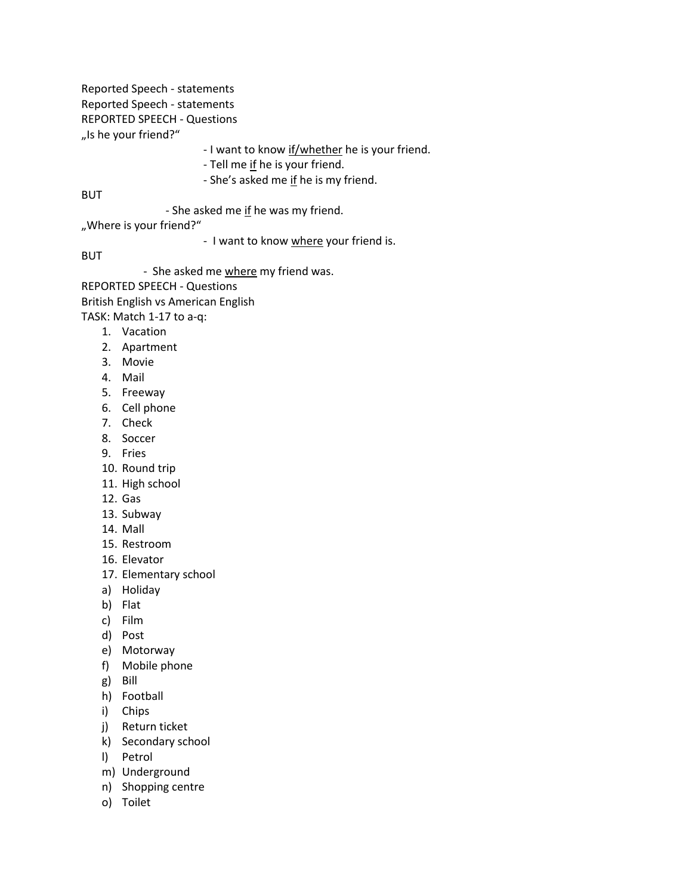Reported Speech - statements Reported Speech - statements REPORTED SPEECH - Questions "Is he your friend?"

- I want to know if/whether he is your friend.

- Tell me if he is your friend.

- She's asked me if he is my friend.

**BUT** 

- She asked me if he was my friend.

"Where is your friend?"

- I want to know where your friend is.

BUT

- She asked me where my friend was.

REPORTED SPEECH - Questions

British English vs American English

TASK: Match 1-17 to a-q:

- 1. Vacation
- 2. Apartment
- 3. Movie
- 4. Mail
- 5. Freeway
- 6. Cell phone
- 7. Check
- 8. Soccer
- 9. Fries
- 10. Round trip
- 11. High school
- 12. Gas
- 13. Subway
- 14. Mall
- 15. Restroom
- 16. Elevator
- 17. Elementary school
- a) Holiday
- b) Flat
- c) Film
- d) Post
- e) Motorway
- f) Mobile phone
- g) Bill
- h) Football
- i) Chips
- j) Return ticket
- k) Secondary school
- l) Petrol
- m) Underground
- n) Shopping centre
- o) Toilet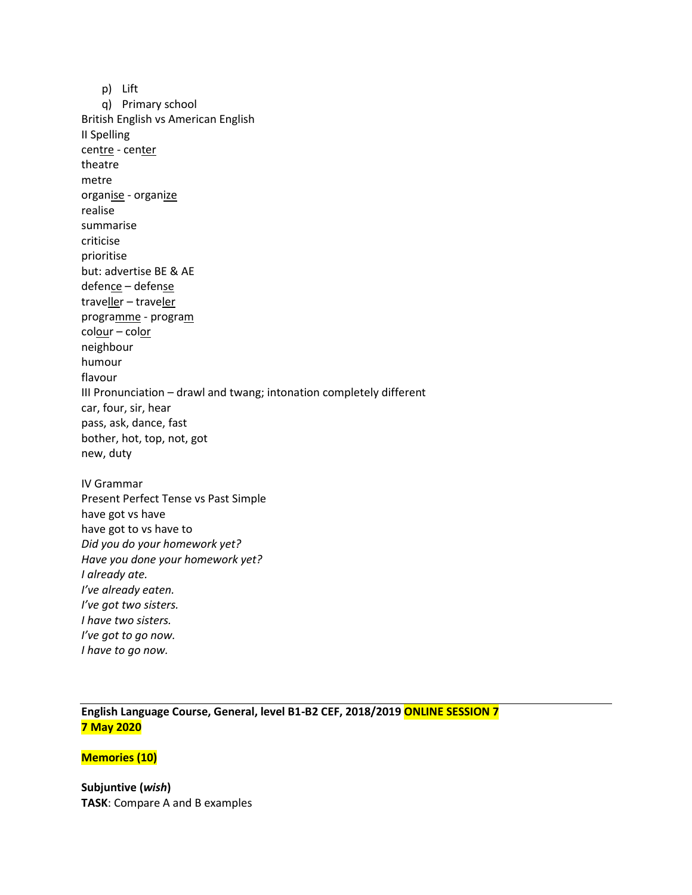p) Lift q) Primary school British English vs American English II Spelling centre - center theatre metre organise - organize realise summarise criticise prioritise but: advertise BE & AE defence – defense traveller – traveler programme - program colour – color neighbour humour flavour III Pronunciation – drawl and twang; intonation completely different car, four, sir, hear pass, ask, dance, fast bother, hot, top, not, got new, duty IV Grammar Present Perfect Tense vs Past Simple have got vs have have got to vs have to *Did you do your homework yet? Have you done your homework yet? I already ate. I've already eaten. I've got two sisters. I have two sisters. I've got to go now.* 

**English Language Course, General, level B1-B2 CEF, 2018/2019 ONLINE SESSION 7 7 May 2020**

#### **Memories (10)**

*I have to go now.*

**Subjuntive (***wish***) TASK**: Compare A and B examples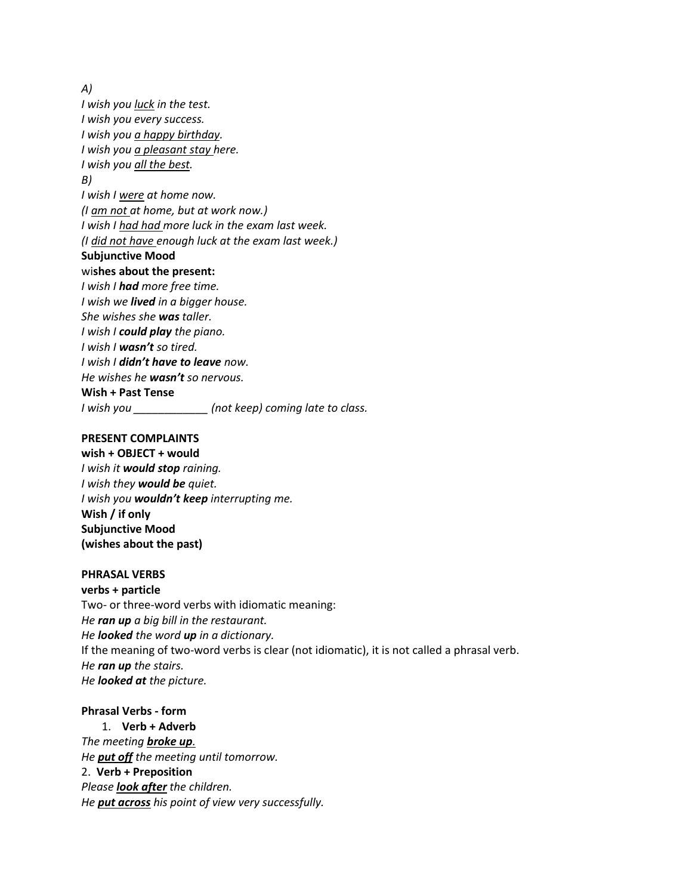*A)*

*I wish you luck in the test. I wish you every success. I wish you a happy birthday. I wish you a pleasant stay here. I wish you all the best. B) I wish I were at home now. (I am not at home, but at work now.) I wish I had had more luck in the exam last week. (I did not have enough luck at the exam last week.)* **Subjunctive Mood**  wi**shes about the present:** *I wish I had more free time. I wish we lived in a bigger house. She wishes she was taller. I wish I could play the piano. I wish I wasn't so tired. I wish I didn't have to leave now. He wishes he wasn't so nervous.* **Wish + Past Tense** *I wish you \_\_\_\_\_\_\_\_\_\_\_\_ (not keep) coming late to class.*

#### **PRESENT COMPLAINTS**

**wish + OBJECT + would** *I wish it would stop raining. I wish they would be quiet. I wish you wouldn't keep interrupting me.* **Wish / if only Subjunctive Mood (wishes about the past)**

#### **PHRASAL VERBS**

**verbs + particle** Two- or three-word verbs with idiomatic meaning: *He ran up a big bill in the restaurant. He looked the word up in a dictionary.* If the meaning of two-word verbs is clear (not idiomatic), it is not called a phrasal verb. *He ran up the stairs. He looked at the picture.*

## **Phrasal Verbs - form**

1. **Verb + Adverb** *The meeting broke up. He put off the meeting until tomorrow.* 2. **Verb + Preposition** *Please look after the children. He put across his point of view very successfully.*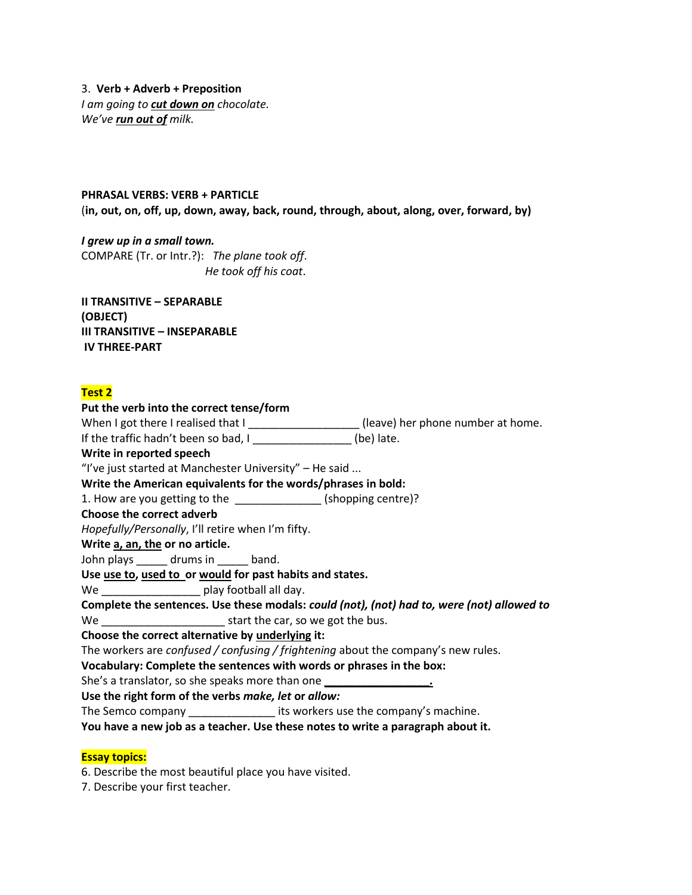3. **Verb + Adverb + Preposition** *I am going to cut down on chocolate. We've run out of milk.*

#### **PHRASAL VERBS: VERB + PARTICLE**

(**in, out, on, off, up, down, away, back, round, through, about, along, over, forward, by)**

*I grew up in a small town.* COMPARE (Tr. or Intr.?): *The plane took off*. *He took off his coat*.

**II TRANSITIVE – SEPARABLE (OBJECT) III TRANSITIVE – INSEPARABLE IV THREE-PART**

#### **Test 2**

**Put the verb into the correct tense/form** When I got there I realised that I \_\_\_\_\_\_\_\_\_\_\_\_\_\_\_\_\_\_\_\_\_(leave) her phone number at home. If the traffic hadn't been so bad,  $I_{\text{2}}$  \_\_\_\_\_\_\_\_\_\_\_\_\_\_\_\_\_\_(be) late. **Write in reported speech** "I've just started at Manchester University" – He said ... **Write the American equivalents for the words/phrases in bold:** 1. How are you getting to the \_\_\_\_\_\_\_\_\_\_\_\_\_\_\_\_\_(shopping centre)? **Choose the correct adverb** *Hopefully/Personally*, I'll retire when I'm fifty. **Write a, an, the or no article.** John plays \_\_\_\_\_\_ drums in \_\_\_\_\_ band. **Use use to, used to or would for past habits and states.** We \_\_\_\_\_\_\_\_\_\_\_\_\_\_\_\_\_\_\_\_\_\_ play football all day. **Complete the sentences. Use these modals:** *could (not), (not) had to, were (not) allowed to* We **We** start the car, so we got the bus. **Choose the correct alternative by underlying it:** The workers are *confused / confusing / frightening* about the company's new rules. **Vocabulary: Complete the sentences with words or phrases in the box:** She's a translator, so she speaks more than one **\_\_\_\_\_\_\_\_\_\_\_\_\_\_\_\_\_. Use the right form of the verbs** *make, let* **or** *allow:* The Semco company \_\_\_\_\_\_\_\_\_\_\_\_\_\_ its workers use the company's machine. **You have a new job as a teacher. Use these notes to write a paragraph about it.**

#### **Essay topics:**

6. Describe the most beautiful place you have visited.

7. Describe your first teacher.